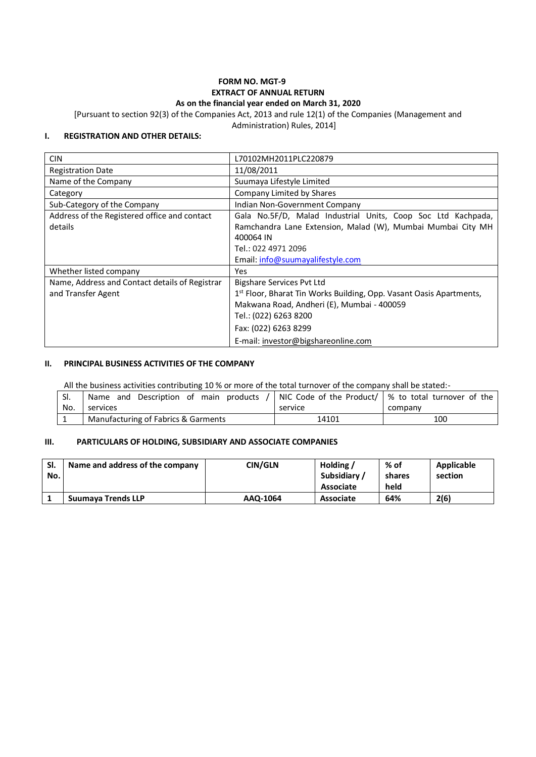### **FORM NO. MGT-9 EXTRACT OF ANNUAL RETURN As on the financial year ended on March 31, 2020**

[Pursuant to section 92(3) of the Companies Act, 2013 and rule 12(1) of the Companies (Management and

Administration) Rules, 2014]

### **I. REGISTRATION AND OTHER DETAILS:**

| <b>CIN</b>                                                           | L70102MH2011PLC220879                                                                                                                                                                               |
|----------------------------------------------------------------------|-----------------------------------------------------------------------------------------------------------------------------------------------------------------------------------------------------|
| <b>Registration Date</b>                                             | 11/08/2011                                                                                                                                                                                          |
| Name of the Company                                                  | Suumaya Lifestyle Limited                                                                                                                                                                           |
| Category                                                             | Company Limited by Shares                                                                                                                                                                           |
| Sub-Category of the Company                                          | Indian Non-Government Company                                                                                                                                                                       |
| Address of the Registered office and contact<br>details              | Gala No.5F/D, Malad Industrial Units, Coop Soc Ltd Kachpada,<br>Ramchandra Lane Extension, Malad (W), Mumbai Mumbai City MH<br>400064 IN<br>Tel.: 022 4971 2096<br>Email: info@suumayalifestyle.com |
| Whether listed company                                               | Yes.                                                                                                                                                                                                |
| Name, Address and Contact details of Registrar<br>and Transfer Agent | Bigshare Services Pvt Ltd<br>1st Floor, Bharat Tin Works Building, Opp. Vasant Oasis Apartments,<br>Makwana Road, Andheri (E), Mumbai - 400059<br>Tel.: (022) 6263 8200<br>Fax: (022) 6263 8299     |
|                                                                      | E-mail: investor@bigshareonline.com                                                                                                                                                                 |

#### **II. PRINCIPAL BUSINESS ACTIVITIES OF THE COMPANY**

All the business activities contributing 10 % or more of the total turnover of the company shall be stated:-

| SI. | Name and Description of main products /   NIC Code of the Product/ $\frac{1}{2}$ % to total turnover of the |         |         |  |
|-----|-------------------------------------------------------------------------------------------------------------|---------|---------|--|
| No. | services                                                                                                    | service | company |  |
|     | Manufacturing of Fabrics & Garments                                                                         | 14101   | 100     |  |

### **III. PARTICULARS OF HOLDING, SUBSIDIARY AND ASSOCIATE COMPANIES**

| SI.<br>No. | Name and address of the company | CIN/GLN  | Holding /<br><b>Subsidiary</b> | % of<br>shares | Applicable<br>section |
|------------|---------------------------------|----------|--------------------------------|----------------|-----------------------|
|            |                                 |          | Associate                      | held           |                       |
|            | <b>Suumava Trends LLP</b>       | AAQ-1064 | <b>Associate</b>               | 64%            | 2(6)                  |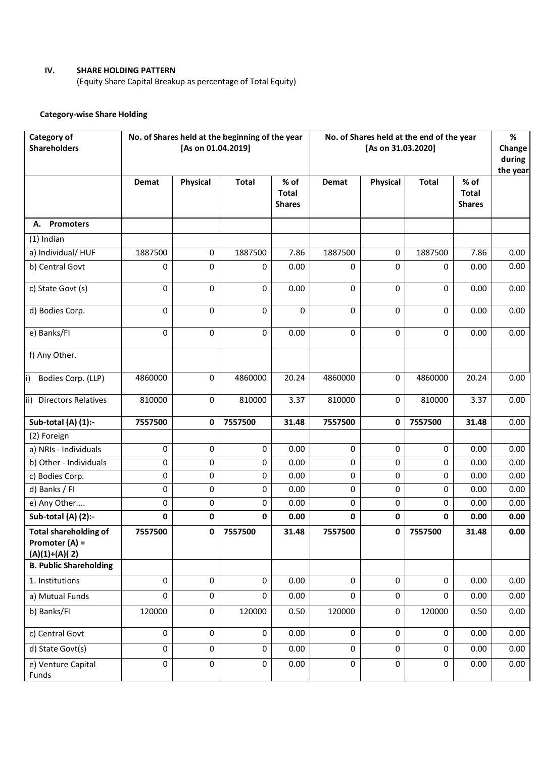# **IV. SHARE HOLDING PATTERN**

(Equity Share Capital Breakup as percentage of Total Equity)

# **Category-wise Share Holding**

| Category of<br><b>Shareholders</b>                                  |             | [As on 01.04.2019] | No. of Shares held at the beginning of the year |                                       |           | No. of Shares held at the end of the year<br>[As on 31.03.2020] |              |                                       | $\%$<br>Change<br>during<br>the year |
|---------------------------------------------------------------------|-------------|--------------------|-------------------------------------------------|---------------------------------------|-----------|-----------------------------------------------------------------|--------------|---------------------------------------|--------------------------------------|
|                                                                     | Demat       | <b>Physical</b>    | <b>Total</b>                                    | % of<br><b>Total</b><br><b>Shares</b> | Demat     | <b>Physical</b>                                                 | <b>Total</b> | % of<br><b>Total</b><br><b>Shares</b> |                                      |
| <b>Promoters</b><br>А.                                              |             |                    |                                                 |                                       |           |                                                                 |              |                                       |                                      |
| $(1)$ Indian                                                        |             |                    |                                                 |                                       |           |                                                                 |              |                                       |                                      |
| a) Individual/HUF                                                   | 1887500     | 0                  | 1887500                                         | 7.86                                  | 1887500   | 0                                                               | 1887500      | 7.86                                  | 0.00                                 |
| b) Central Govt                                                     | 0           | 0                  | $\Omega$                                        | 0.00                                  | 0         | 0                                                               | 0            | 0.00                                  | 0.00                                 |
| c) State Govt (s)                                                   | $\mathbf 0$ | 0                  | 0                                               | 0.00                                  | 0         | 0                                                               | 0            | 0.00                                  | 0.00                                 |
| d) Bodies Corp.                                                     | 0           | $\Omega$           | 0                                               | 0                                     | 0         | 0                                                               | 0            | 0.00                                  | 0.00                                 |
| e) Banks/FI                                                         | 0           | 0                  | $\mathbf 0$                                     | 0.00                                  | 0         | 0                                                               | 0            | 0.00                                  | 0.00                                 |
| f) Any Other.                                                       |             |                    |                                                 |                                       |           |                                                                 |              |                                       |                                      |
| Bodies Corp. (LLP)<br>li)                                           | 4860000     | 0                  | 4860000                                         | 20.24                                 | 4860000   | 0                                                               | 4860000      | 20.24                                 | 0.00                                 |
| ii) Directors Relatives                                             | 810000      | 0                  | 810000                                          | 3.37                                  | 810000    | 0                                                               | 810000       | 3.37                                  | 0.00                                 |
| Sub-total (A) (1):-                                                 | 7557500     | 0                  | 7557500                                         | 31.48                                 | 7557500   | 0                                                               | 7557500      | 31.48                                 | 0.00                                 |
| (2) Foreign                                                         |             |                    |                                                 |                                       |           |                                                                 |              |                                       |                                      |
| a) NRIs - Individuals                                               | 0           | 0                  | 0                                               | 0.00                                  | 0         | 0                                                               | 0            | 0.00                                  | 0.00                                 |
| b) Other - Individuals                                              | $\mathsf 0$ | $\pmb{0}$          | 0                                               | 0.00                                  | 0         | 0                                                               | 0            | 0.00                                  | 0.00                                 |
| c) Bodies Corp.                                                     | 0           | 0                  | 0                                               | 0.00                                  | 0         | 0                                                               | 0            | 0.00                                  | 0.00                                 |
| d) Banks / FI                                                       | 0           | $\mathbf 0$        | 0                                               | 0.00                                  | 0         | 0                                                               | 0            | 0.00                                  | 0.00                                 |
| e) Any Other                                                        | 0           | 0                  | 0                                               | 0.00                                  | 0         | 0                                                               | 0            | 0.00                                  | 0.00                                 |
| Sub-total (A) (2):-                                                 | 0           | 0                  | $\mathbf 0$                                     | 0.00                                  | 0         | 0                                                               | 0            | 0.00                                  | 0.00                                 |
| <b>Total shareholding of</b><br>Promoter $(A)$ =<br>$(A)(1)+(A)(2)$ | 7557500     | $\mathbf 0$        | 7557500                                         | 31.48                                 | 7557500   | $\pmb{0}$                                                       | 7557500      | 31.48                                 | 0.00                                 |
| <b>B. Public Shareholding</b>                                       |             |                    |                                                 |                                       |           |                                                                 |              |                                       |                                      |
| 1. Institutions                                                     | 0           | $\mathbf 0$        | $\mathbf 0$                                     | 0.00                                  | 0         | $\mathbf 0$                                                     | 0            | 0.00                                  | 0.00                                 |
| a) Mutual Funds                                                     | 0           | $\mathbf 0$        | $\mathbf 0$                                     | 0.00                                  | 0         | $\mathbf 0$                                                     | 0            | 0.00                                  | 0.00                                 |
| b) Banks/FI                                                         | 120000      | 0                  | 120000                                          | 0.50                                  | 120000    | $\mathsf{O}\xspace$                                             | 120000       | 0.50                                  | 0.00                                 |
| c) Central Govt                                                     | $\pmb{0}$   | $\pmb{0}$          | 0                                               | 0.00                                  | $\pmb{0}$ | $\mathbf 0$                                                     | $\mathbf 0$  | 0.00                                  | 0.00                                 |
| d) State Govt(s)                                                    | $\pmb{0}$   | 0                  | 0                                               | 0.00                                  | 0         | $\pmb{0}$                                                       | 0            | 0.00                                  | 0.00                                 |
| e) Venture Capital<br>Funds                                         | 0           | 0                  | 0                                               | 0.00                                  | 0         | 0                                                               | 0            | 0.00                                  | 0.00                                 |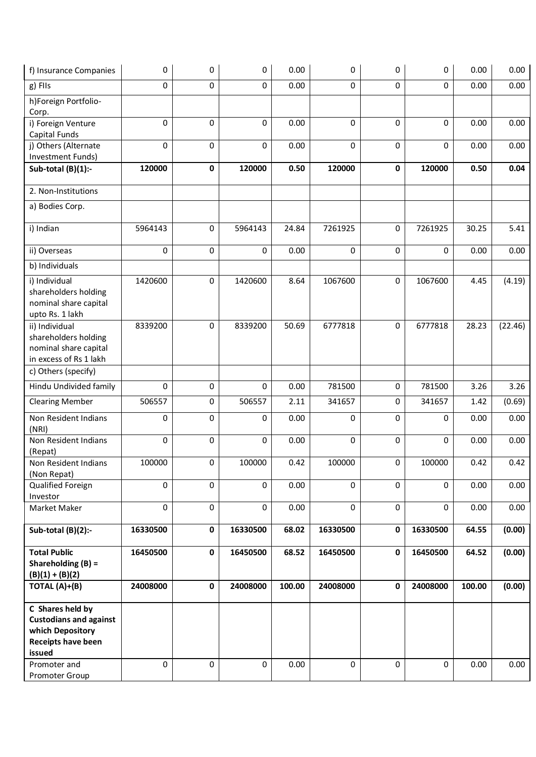| f) Insurance Companies                                                                                       | 0        | 0         | 0           | 0.00   | 0           | 0        | 0        | 0.00   | 0.00    |
|--------------------------------------------------------------------------------------------------------------|----------|-----------|-------------|--------|-------------|----------|----------|--------|---------|
| g) FIIs                                                                                                      | 0        | 0         | 0           | 0.00   | 0           | 0        | 0        | 0.00   | 0.00    |
| h)Foreign Portfolio-<br>Corp.                                                                                |          |           |             |        |             |          |          |        |         |
| i) Foreign Venture<br>Capital Funds                                                                          | $\Omega$ | 0         | 0           | 0.00   | 0           | 0        | $\Omega$ | 0.00   | 0.00    |
| j) Others (Alternate<br>Investment Funds)                                                                    | 0        | 0         | $\Omega$    | 0.00   | $\Omega$    | 0        | 0        | 0.00   | 0.00    |
| Sub-total $(B)(1)$ :-                                                                                        | 120000   | 0         | 120000      | 0.50   | 120000      | 0        | 120000   | 0.50   | 0.04    |
| 2. Non-Institutions                                                                                          |          |           |             |        |             |          |          |        |         |
| a) Bodies Corp.                                                                                              |          |           |             |        |             |          |          |        |         |
| i) Indian                                                                                                    | 5964143  | 0         | 5964143     | 24.84  | 7261925     | 0        | 7261925  | 30.25  | 5.41    |
| ii) Overseas                                                                                                 | 0        | 0         | $\Omega$    | 0.00   | $\Omega$    | 0        | $\Omega$ | 0.00   | 0.00    |
| b) Individuals                                                                                               |          |           |             |        |             |          |          |        |         |
| i) Individual<br>shareholders holding<br>nominal share capital<br>upto Rs. 1 lakh                            | 1420600  | 0         | 1420600     | 8.64   | 1067600     | 0        | 1067600  | 4.45   | (4.19)  |
| ii) Individual<br>shareholders holding<br>nominal share capital<br>in excess of Rs 1 lakh                    | 8339200  | 0         | 8339200     | 50.69  | 6777818     | $\Omega$ | 6777818  | 28.23  | (22.46) |
| c) Others (specify)                                                                                          |          |           |             |        |             |          |          |        |         |
| Hindu Undivided family                                                                                       | 0        | $\pmb{0}$ | 0           | 0.00   | 781500      | 0        | 781500   | 3.26   | 3.26    |
| <b>Clearing Member</b>                                                                                       | 506557   | 0         | 506557      | 2.11   | 341657      | 0        | 341657   | 1.42   | (0.69)  |
| Non Resident Indians<br>(NRI)                                                                                | 0        | 0         | 0           | 0.00   | 0           | 0        | 0        | 0.00   | 0.00    |
| Non Resident Indians<br>(Repat)                                                                              | 0        | $\pmb{0}$ | 0           | 0.00   | 0           | 0        | $\Omega$ | 0.00   | 0.00    |
| Non Resident Indians                                                                                         | 100000   | 0         | 100000      | 0.42   | 100000      | 0        | 100000   | 0.42   | 0.42    |
| (Non Repat)<br>Qualified Foreign<br>Investor                                                                 | $\Omega$ | 0         | $\Omega$    | 0.00   | $\Omega$    | 0        | 0        | 0.00   | 0.00    |
| Market Maker                                                                                                 | 0        | 0         | $\mathbf 0$ | 0.00   | $\mathbf 0$ | 0        | 0        | 0.00   | 0.00    |
| Sub-total (B)(2):-                                                                                           | 16330500 | 0         | 16330500    | 68.02  | 16330500    | 0        | 16330500 | 64.55  | (0.00)  |
| <b>Total Public</b><br>Shareholding $(B)$ =<br>$(B)(1) + (B)(2)$                                             | 16450500 | 0         | 16450500    | 68.52  | 16450500    | 0        | 16450500 | 64.52  | (0.00)  |
| TOTAL (A)+(B)                                                                                                | 24008000 | 0         | 24008000    | 100.00 | 24008000    | 0        | 24008000 | 100.00 | (0.00)  |
| C Shares held by<br><b>Custodians and against</b><br>which Depository<br><b>Receipts have been</b><br>issued |          |           |             |        |             |          |          |        |         |
| Promoter and<br>Promoter Group                                                                               | 0        | 0         | 0           | 0.00   | $\mathbf 0$ | 0        | 0        | 0.00   | 0.00    |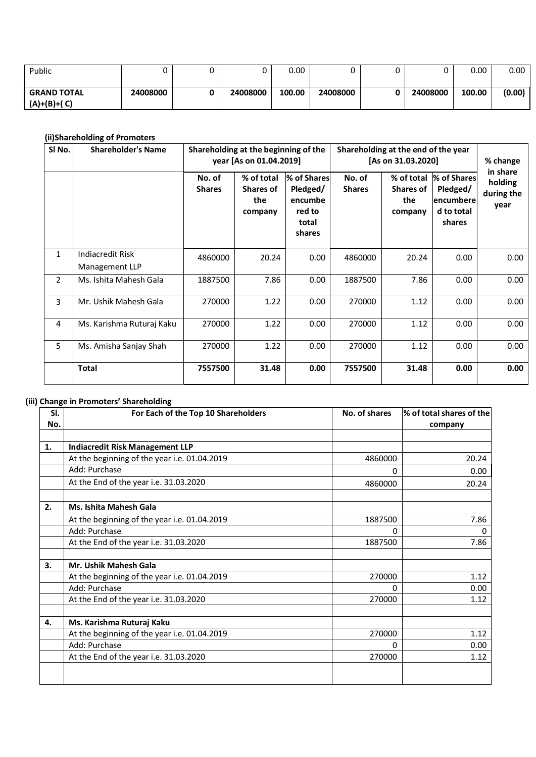| Public                              |          |          | 0.00   |          |          | 0.00   | 0.00   |
|-------------------------------------|----------|----------|--------|----------|----------|--------|--------|
| <b>GRAND TOTAL</b><br>$(A)+(B)+(C)$ | 24008000 | 24008000 | 100.00 | 24008000 | 24008000 | 100.00 | (0.00) |

# **(ii)Shareholding of Promoters**

| SI No.         | <b>Shareholder's Name</b>          |                         | Shareholding at the beginning of the<br>year [As on 01.04.2019] |                                                                 | Shareholding at the end of the year<br>[As on 31.03.2020] |                                                  | % change                                                       |                                           |
|----------------|------------------------------------|-------------------------|-----------------------------------------------------------------|-----------------------------------------------------------------|-----------------------------------------------------------|--------------------------------------------------|----------------------------------------------------------------|-------------------------------------------|
|                |                                    | No. of<br><b>Shares</b> | % of total<br><b>Shares of</b><br>the<br>company                | % of Shares<br>Pledged/<br>encumbe<br>red to<br>total<br>shares | No. of<br><b>Shares</b>                                   | % of total<br><b>Shares of</b><br>the<br>company | % of Shares<br>Pledged/<br>lencumberel<br>d to total<br>shares | in share<br>holding<br>during the<br>year |
| $\mathbf{1}$   | Indiacredit Risk<br>Management LLP | 4860000                 | 20.24                                                           | 0.00                                                            | 4860000                                                   | 20.24                                            | 0.00                                                           | 0.00                                      |
| $\overline{2}$ | Ms. Ishita Mahesh Gala             | 1887500                 | 7.86                                                            | 0.00                                                            | 1887500                                                   | 7.86                                             | 0.00                                                           | 0.00                                      |
| 3              | Mr. Ushik Mahesh Gala              | 270000                  | 1.22                                                            | 0.00                                                            | 270000                                                    | 1.12                                             | 0.00                                                           | 0.00                                      |
| 4              | Ms. Karishma Ruturaj Kaku          | 270000                  | 1.22                                                            | 0.00                                                            | 270000                                                    | 1.12                                             | 0.00                                                           | 0.00                                      |
| 5              | Ms. Amisha Sanjay Shah             | 270000                  | 1.22                                                            | 0.00                                                            | 270000                                                    | 1.12                                             | 0.00                                                           | 0.00                                      |
|                | <b>Total</b>                       | 7557500                 | 31.48                                                           | 0.00                                                            | 7557500                                                   | 31.48                                            | 0.00                                                           | 0.00                                      |

# **(iii) Change in Promoters' Shareholding**

| SI. | For Each of the Top 10 Shareholders          | No. of shares | % of total shares of the |
|-----|----------------------------------------------|---------------|--------------------------|
| No. |                                              |               | company                  |
|     |                                              |               |                          |
| 1.  | <b>Indiacredit Risk Management LLP</b>       |               |                          |
|     | At the beginning of the year i.e. 01.04.2019 | 4860000       | 20.24                    |
|     | Add: Purchase                                | 0             | 0.00                     |
|     | At the End of the year i.e. 31.03.2020       | 4860000       | 20.24                    |
|     |                                              |               |                          |
| 2.  | Ms. Ishita Mahesh Gala                       |               |                          |
|     | At the beginning of the year i.e. 01.04.2019 | 1887500       | 7.86                     |
|     | Add: Purchase                                | O             | $_{0}$                   |
|     | At the End of the year i.e. 31.03.2020       | 1887500       | 7.86                     |
|     |                                              |               |                          |
| 3.  | Mr. Ushik Mahesh Gala                        |               |                          |
|     | At the beginning of the year i.e. 01.04.2019 | 270000        | 1.12                     |
|     | Add: Purchase                                | $\Omega$      | 0.00                     |
|     | At the End of the year i.e. 31.03.2020       | 270000        | 1.12                     |
|     |                                              |               |                          |
| 4.  | Ms. Karishma Ruturaj Kaku                    |               |                          |
|     | At the beginning of the year i.e. 01.04.2019 | 270000        | 1.12                     |
|     | Add: Purchase                                | 0             | 0.00                     |
|     | At the End of the year i.e. 31.03.2020       | 270000        | 1.12                     |
|     |                                              |               |                          |
|     |                                              |               |                          |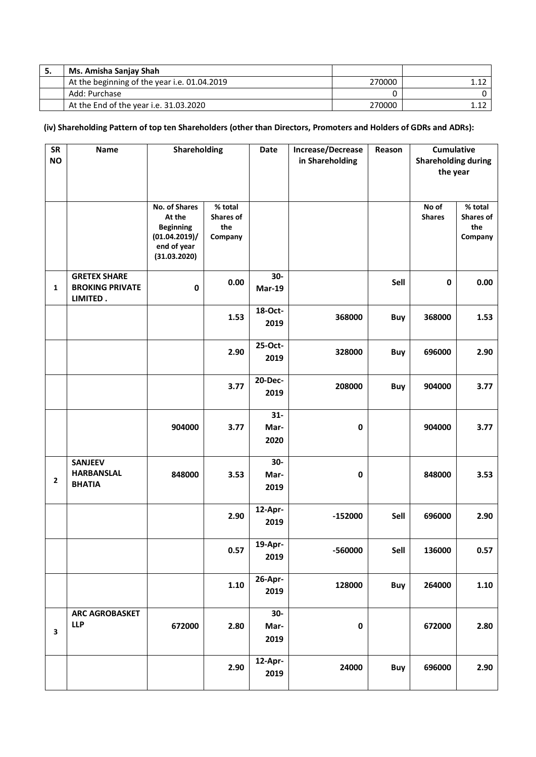| э. | Ms. Amisha Sanjay Shah                       |        |  |
|----|----------------------------------------------|--------|--|
|    | At the beginning of the year i.e. 01.04.2019 | 270000 |  |
|    | Add: Purchase                                |        |  |
|    | At the End of the year i.e. 31.03.2020       | 270000 |  |

# **(iv) Shareholding Pattern of top ten Shareholders (other than Directors, Promoters and Holders of GDRs and ADRs):**

| <b>SR</b><br><b>NO</b> | <b>Name</b>                                               | Shareholding                                                                                       |                                               | Date                   | Increase/Decrease<br>in Shareholding | Reason     |                        | Cumulative<br><b>Shareholding during</b><br>the year |  |
|------------------------|-----------------------------------------------------------|----------------------------------------------------------------------------------------------------|-----------------------------------------------|------------------------|--------------------------------------|------------|------------------------|------------------------------------------------------|--|
|                        |                                                           | <b>No. of Shares</b><br>At the<br><b>Beginning</b><br>(01.04.2019)/<br>end of year<br>(31.03.2020) | % total<br><b>Shares of</b><br>the<br>Company |                        |                                      |            | No of<br><b>Shares</b> | % total<br><b>Shares of</b><br>the<br>Company        |  |
| $\mathbf{1}$           | <b>GRETEX SHARE</b><br><b>BROKING PRIVATE</b><br>LIMITED. | $\pmb{0}$                                                                                          | 0.00                                          | 30-<br><b>Mar-19</b>   |                                      | Sell       | $\pmb{0}$              | 0.00                                                 |  |
|                        |                                                           |                                                                                                    | 1.53                                          | 18-Oct-<br>2019        | 368000                               | Buy        | 368000                 | 1.53                                                 |  |
|                        |                                                           |                                                                                                    | 2.90                                          | 25-Oct-<br>2019        | 328000                               | Buy        | 696000                 | 2.90                                                 |  |
|                        |                                                           |                                                                                                    | 3.77                                          | 20-Dec-<br>2019        | 208000                               | <b>Buy</b> | 904000                 | 3.77                                                 |  |
|                        |                                                           | 904000                                                                                             | 3.77                                          | $31 -$<br>Mar-<br>2020 | 0                                    |            | 904000                 | 3.77                                                 |  |
| 2                      | <b>SANJEEV</b><br><b>HARBANSLAL</b><br><b>BHATIA</b>      | 848000                                                                                             | 3.53                                          | 30-<br>Mar-<br>2019    | $\pmb{0}$                            |            | 848000                 | 3.53                                                 |  |
|                        |                                                           |                                                                                                    | 2.90                                          | 12-Apr-<br>2019        | $-152000$                            | Sell       | 696000                 | 2.90                                                 |  |
|                        |                                                           |                                                                                                    | 0.57                                          | 19-Apr-<br>2019        | -560000                              | Sell       | 136000                 | 0.57                                                 |  |
|                        |                                                           |                                                                                                    | $1.10$                                        | 26-Apr-<br>2019        | 128000                               | Buy        | 264000                 | $1.10$                                               |  |
| 3                      | <b>ARC AGROBASKET</b><br><b>LLP</b>                       | 672000                                                                                             | 2.80                                          | $30-$<br>Mar-<br>2019  | $\pmb{0}$                            |            | 672000                 | 2.80                                                 |  |
|                        |                                                           |                                                                                                    | 2.90                                          | 12-Apr-<br>2019        | 24000                                | Buy        | 696000                 | 2.90                                                 |  |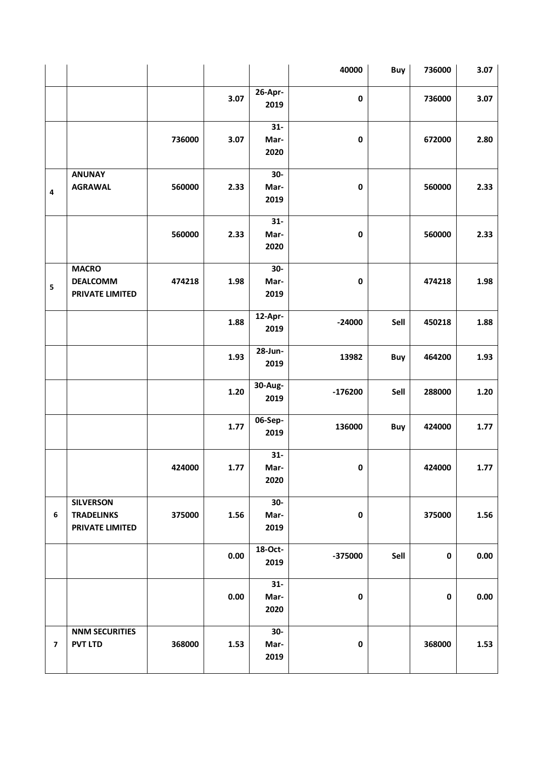|                         |                                                                 |        |      |                       | 40000     | Buy  | 736000      | 3.07   |
|-------------------------|-----------------------------------------------------------------|--------|------|-----------------------|-----------|------|-------------|--------|
|                         |                                                                 |        | 3.07 | $26$ -Apr-<br>2019    | $\pmb{0}$ |      | 736000      | 3.07   |
|                         |                                                                 | 736000 | 3.07 | $31-$<br>Mar-<br>2020 | $\pmb{0}$ |      | 672000      | 2.80   |
| $\overline{\mathbf{4}}$ | <b>ANUNAY</b><br><b>AGRAWAL</b>                                 | 560000 | 2.33 | $30-$<br>Mar-<br>2019 | $\pmb{0}$ |      | 560000      | 2.33   |
|                         |                                                                 | 560000 | 2.33 | $31-$<br>Mar-<br>2020 | $\pmb{0}$ |      | 560000      | 2.33   |
| 5                       | <b>MACRO</b><br><b>DEALCOMM</b><br><b>PRIVATE LIMITED</b>       | 474218 | 1.98 | $30-$<br>Mar-<br>2019 | $\pmb{0}$ |      | 474218      | 1.98   |
|                         |                                                                 |        | 1.88 | 12-Apr-<br>2019       | $-24000$  | Sell | 450218      | 1.88   |
|                         |                                                                 |        | 1.93 | 28-Jun-<br>2019       | 13982     | Buy  | 464200      | 1.93   |
|                         |                                                                 |        | 1.20 | 30-Aug-<br>2019       | $-176200$ | Sell | 288000      | $1.20$ |
|                         |                                                                 |        | 1.77 | 06-Sep-<br>2019       | 136000    | Buy  | 424000      | 1.77   |
|                         |                                                                 | 424000 | 1.77 | $31-$<br>Mar-<br>2020 | $\pmb{0}$ |      | 424000      | 1.77   |
| 6                       | <b>SILVERSON</b><br><b>TRADELINKS</b><br><b>PRIVATE LIMITED</b> | 375000 | 1.56 | $30-$<br>Mar-<br>2019 | $\pmb{0}$ |      | 375000      | 1.56   |
|                         |                                                                 |        | 0.00 | 18-Oct-<br>2019       | $-375000$ | Sell | $\pmb{0}$   | 0.00   |
|                         |                                                                 |        | 0.00 | $31-$<br>Mar-<br>2020 | $\pmb{0}$ |      | $\mathbf 0$ | 0.00   |
| $\overline{\mathbf{z}}$ | <b>NNM SECURITIES</b><br><b>PVT LTD</b>                         | 368000 | 1.53 | $30-$<br>Mar-<br>2019 | $\pmb{0}$ |      | 368000      | 1.53   |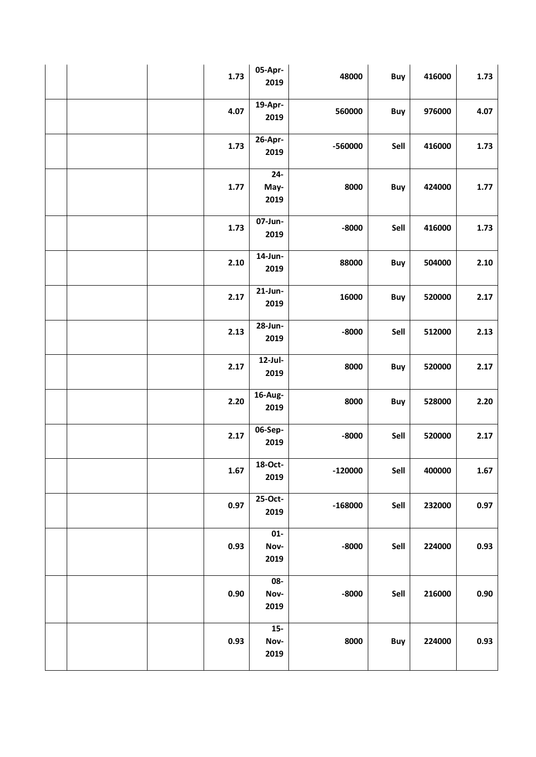|  | 1.73 | 05-Apr-<br>2019        | 48000     | Buy  | 416000 | 1.73 |
|--|------|------------------------|-----------|------|--------|------|
|  | 4.07 | 19-Apr-<br>2019        | 560000    | Buy  | 976000 | 4.07 |
|  | 1.73 | 26-Apr-<br>2019        | -560000   | Sell | 416000 | 1.73 |
|  | 1.77 | $24 -$<br>May-<br>2019 | 8000      | Buy  | 424000 | 1.77 |
|  | 1.73 | 07-Jun-<br>2019        | $-8000$   | Sell | 416000 | 1.73 |
|  | 2.10 | 14-Jun-<br>2019        | 88000     | Buy  | 504000 | 2.10 |
|  | 2.17 | 21-Jun-<br>2019        | 16000     | Buy  | 520000 | 2.17 |
|  | 2.13 | 28-Jun-<br>2019        | $-8000$   | Sell | 512000 | 2.13 |
|  | 2.17 | 12-Jul-<br>2019        | 8000      | Buy  | 520000 | 2.17 |
|  | 2.20 | 16-Aug-<br>2019        | 8000      | Buy  | 528000 | 2.20 |
|  | 2.17 | 06-Sep-<br>2019        | $-8000$   | Sell | 520000 | 2.17 |
|  | 1.67 | 18-Oct-<br>2019        | -120000   | Sell | 400000 | 1.67 |
|  | 0.97 | 25-Oct-<br>2019        | $-168000$ | Sell | 232000 | 0.97 |
|  | 0.93 | $01 -$<br>Nov-<br>2019 | $-8000$   | Sell | 224000 | 0.93 |
|  | 0.90 | 08-<br>Nov-<br>2019    | $-8000$   | Sell | 216000 | 0.90 |
|  | 0.93 | $15-$<br>Nov-<br>2019  | 8000      | Buy  | 224000 | 0.93 |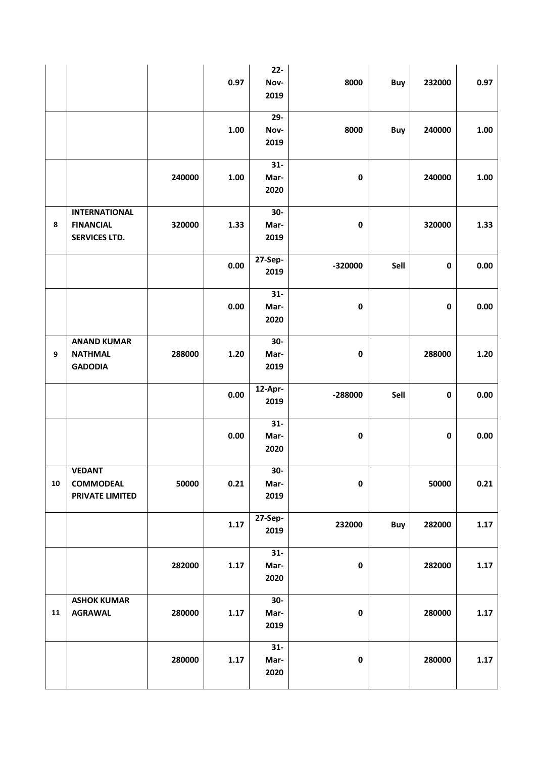|            |                                                                  |        | 0.97 | $22 -$<br>Nov-<br>2019 | 8000      | <b>Buy</b> | 232000    | 0.97     |
|------------|------------------------------------------------------------------|--------|------|------------------------|-----------|------------|-----------|----------|
|            |                                                                  |        | 1.00 | $29 -$<br>Nov-<br>2019 | 8000      | <b>Buy</b> | 240000    | 1.00     |
|            |                                                                  | 240000 | 1.00 | $31-$<br>Mar-<br>2020  | $\pmb{0}$ |            | 240000    | 1.00     |
| 8          | <b>INTERNATIONAL</b><br><b>FINANCIAL</b><br><b>SERVICES LTD.</b> | 320000 | 1.33 | $30-$<br>Mar-<br>2019  | $\pmb{0}$ |            | 320000    | 1.33     |
|            |                                                                  |        | 0.00 | 27-Sep-<br>2019        | $-320000$ | Sell       | $\pmb{0}$ | $0.00\,$ |
|            |                                                                  |        | 0.00 | $31-$<br>Mar-<br>2020  | $\pmb{0}$ |            | $\pmb{0}$ | $0.00\,$ |
| 9          | <b>ANAND KUMAR</b><br><b>NATHMAL</b><br><b>GADODIA</b>           | 288000 | 1.20 | $30-$<br>Mar-<br>2019  | $\pmb{0}$ |            | 288000    | $1.20$   |
|            |                                                                  |        | 0.00 | 12-Apr-<br>2019        | -288000   | Sell       | $\pmb{0}$ | $0.00\,$ |
|            |                                                                  |        | 0.00 | $31-$<br>Mar-<br>2020  | $\pmb{0}$ |            | $\pmb{0}$ | $0.00\,$ |
| ${\bf 10}$ | <b>VEDANT</b><br><b>COMMODEAL</b><br><b>PRIVATE LIMITED</b>      | 50000  | 0.21 | 30-<br>Mar-<br>2019    | $\pmb{0}$ |            | 50000     | 0.21     |
|            |                                                                  |        | 1.17 | 27-Sep-<br>2019        | 232000    | Buy        | 282000    | 1.17     |
|            |                                                                  | 282000 | 1.17 | $31-$<br>Mar-<br>2020  | $\pmb{0}$ |            | 282000    | 1.17     |
| ${\bf 11}$ | <b>ASHOK KUMAR</b><br><b>AGRAWAL</b>                             | 280000 | 1.17 | $30-$<br>Mar-<br>2019  | $\pmb{0}$ |            | 280000    | 1.17     |
|            |                                                                  | 280000 | 1.17 | $31-$<br>Mar-<br>2020  | $\pmb{0}$ |            | 280000    | 1.17     |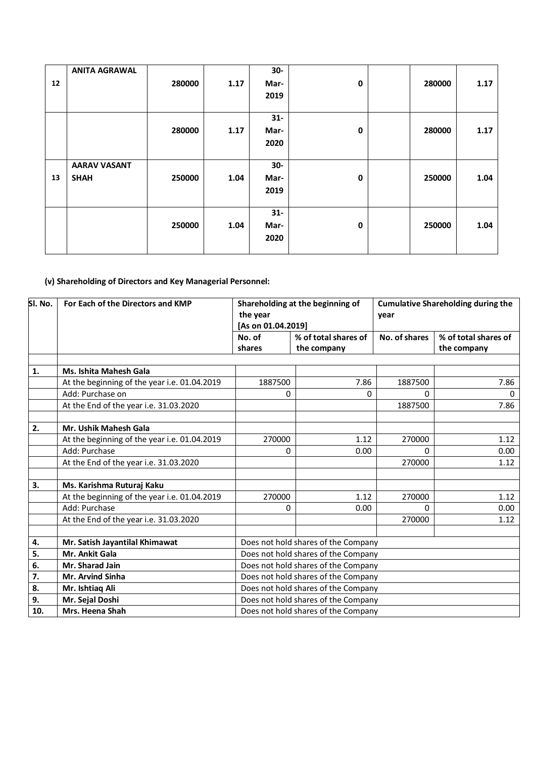|    | <b>ANITA AGRAWAL</b> |        |      | $30-$ |             |        |      |
|----|----------------------|--------|------|-------|-------------|--------|------|
| 12 |                      | 280000 | 1.17 | Mar-  | $\mathbf 0$ | 280000 | 1.17 |
|    |                      |        |      | 2019  |             |        |      |
|    |                      |        |      |       |             |        |      |
|    |                      |        |      | $31-$ |             |        |      |
|    |                      | 280000 | 1.17 | Mar-  | $\mathbf 0$ | 280000 | 1.17 |
|    |                      |        |      | 2020  |             |        |      |
|    |                      |        |      |       |             |        |      |
|    | <b>AARAV VASANT</b>  |        |      | $30-$ |             |        |      |
| 13 | <b>SHAH</b>          | 250000 | 1.04 | Mar-  | $\mathbf 0$ | 250000 | 1.04 |
|    |                      |        |      | 2019  |             |        |      |
|    |                      |        |      |       |             |        |      |
|    |                      |        |      | $31-$ |             |        |      |
|    |                      | 250000 | 1.04 | Mar-  | $\mathbf 0$ | 250000 | 1.04 |
|    |                      |        |      | 2020  |             |        |      |
|    |                      |        |      |       |             |        |      |

# **(v) Shareholding of Directors and Key Managerial Personnel:**

| SI. No.        | For Each of the Directors and KMP            | Shareholding at the beginning of<br>the year<br>[As on 01.04.2019] |                                     | <b>Cumulative Shareholding during the</b><br>year |                                     |  |  |
|----------------|----------------------------------------------|--------------------------------------------------------------------|-------------------------------------|---------------------------------------------------|-------------------------------------|--|--|
|                |                                              | No. of<br>shares                                                   | % of total shares of<br>the company | No. of shares                                     | % of total shares of<br>the company |  |  |
|                |                                              |                                                                    |                                     |                                                   |                                     |  |  |
| $\mathbf{1}$ . | Ms. Ishita Mahesh Gala                       |                                                                    |                                     |                                                   |                                     |  |  |
|                | At the beginning of the year i.e. 01.04.2019 | 1887500                                                            | 7.86                                | 1887500                                           | 7.86                                |  |  |
|                | Add: Purchase on                             | 0                                                                  | 0                                   | 0                                                 | 0                                   |  |  |
|                | At the End of the year i.e. 31.03.2020       |                                                                    |                                     | 1887500                                           | 7.86                                |  |  |
|                |                                              |                                                                    |                                     |                                                   |                                     |  |  |
| 2.             | Mr. Ushik Mahesh Gala                        |                                                                    |                                     |                                                   |                                     |  |  |
|                | At the beginning of the year i.e. 01.04.2019 | 270000                                                             | 1.12                                | 270000                                            | 1.12                                |  |  |
|                | Add: Purchase                                | 0                                                                  | 0.00                                | 0                                                 | 0.00                                |  |  |
|                | At the End of the year i.e. 31.03.2020       |                                                                    |                                     | 270000                                            | 1.12                                |  |  |
|                |                                              |                                                                    |                                     |                                                   |                                     |  |  |
| 3.             | Ms. Karishma Ruturaj Kaku                    |                                                                    |                                     |                                                   |                                     |  |  |
|                | At the beginning of the year i.e. 01.04.2019 | 270000                                                             | 1.12                                | 270000                                            | 1.12                                |  |  |
|                | Add: Purchase                                | 0                                                                  | 0.00                                | 0                                                 | 0.00                                |  |  |
|                | At the End of the year i.e. 31.03.2020       |                                                                    |                                     | 270000                                            | 1.12                                |  |  |
|                |                                              |                                                                    |                                     |                                                   |                                     |  |  |
| 4.             | Mr. Satish Jayantilal Khimawat               | Does not hold shares of the Company                                |                                     |                                                   |                                     |  |  |
| 5.             | Mr. Ankit Gala                               | Does not hold shares of the Company                                |                                     |                                                   |                                     |  |  |
| 6.             | Mr. Sharad Jain                              | Does not hold shares of the Company                                |                                     |                                                   |                                     |  |  |
| 7.             | <b>Mr. Arvind Sinha</b>                      | Does not hold shares of the Company                                |                                     |                                                   |                                     |  |  |
| 8.             | Mr. Ishtiaq Ali                              | Does not hold shares of the Company                                |                                     |                                                   |                                     |  |  |
| 9.             | Mr. Sejal Doshi                              |                                                                    | Does not hold shares of the Company |                                                   |                                     |  |  |
| 10.            | Mrs. Heena Shah                              |                                                                    | Does not hold shares of the Company |                                                   |                                     |  |  |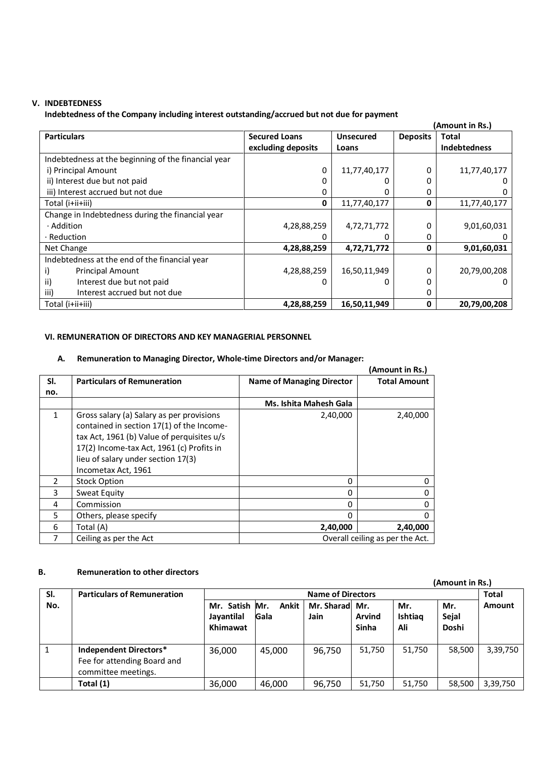### **V. INDEBTEDNESS**

**Indebtedness of the Company including interest outstanding/accrued but not due for payment**

|                                                     |                      |                  |                 | (Amount in Rs.)     |
|-----------------------------------------------------|----------------------|------------------|-----------------|---------------------|
| <b>Particulars</b>                                  | <b>Secured Loans</b> | <b>Unsecured</b> | <b>Deposits</b> | Total               |
|                                                     | excluding deposits   | Loans            |                 | <b>Indebtedness</b> |
| Indebtedness at the beginning of the financial year |                      |                  |                 |                     |
| i) Principal Amount                                 | 0                    | 11,77,40,177     | 0               | 11,77,40,177        |
| ii) Interest due but not paid                       |                      |                  |                 |                     |
| iii) Interest accrued but not due                   |                      |                  | Ω               | O                   |
| Total (i+ii+iii)                                    | 0                    | 11,77,40,177     | 0               | 11,77,40,177        |
| Change in Indebtedness during the financial year    |                      |                  |                 |                     |
| · Addition                                          | 4,28,88,259          | 4,72,71,772      | 0               | 9,01,60,031         |
| $\cdot$ Reduction                                   |                      |                  | 0               |                     |
| Net Change                                          | 4,28,88,259          | 4,72,71,772      | 0               | 9,01,60,031         |
| Indebtedness at the end of the financial year       |                      |                  |                 |                     |
| <b>Principal Amount</b>                             | 4,28,88,259          | 16,50,11,949     | 0               | 20,79,00,208        |
| ii)<br>Interest due but not paid                    |                      |                  |                 | $^{(1)}$            |
| Interest accrued but not due<br>iii)                |                      |                  |                 |                     |
| Total (i+ii+iii)                                    | 4,28,88,259          | 16,50,11,949     | 0               | 20,79,00,208        |

### **VI. REMUNERATION OF DIRECTORS AND KEY MANAGERIAL PERSONNEL**

#### **A. Remuneration to Managing Director, Whole-time Directors and/or Manager:**

|               |                                                                                                                                                                                                                                                |                                  | (Amount in Rs.)                 |
|---------------|------------------------------------------------------------------------------------------------------------------------------------------------------------------------------------------------------------------------------------------------|----------------------------------|---------------------------------|
| SI.           | <b>Particulars of Remuneration</b>                                                                                                                                                                                                             | <b>Name of Managing Director</b> | <b>Total Amount</b>             |
| no.           |                                                                                                                                                                                                                                                |                                  |                                 |
|               |                                                                                                                                                                                                                                                | Ms. Ishita Mahesh Gala           |                                 |
| 1             | Gross salary (a) Salary as per provisions<br>contained in section 17(1) of the Income-<br>tax Act, 1961 (b) Value of perquisites u/s<br>17(2) Income-tax Act, 1961 (c) Profits in<br>lieu of salary under section 17(3)<br>Incometax Act, 1961 | 2,40,000                         | 2,40,000                        |
| $\mathcal{P}$ | <b>Stock Option</b>                                                                                                                                                                                                                            | 0                                | 0                               |
| 3             | Sweat Equity                                                                                                                                                                                                                                   | 0                                |                                 |
| 4             | Commission                                                                                                                                                                                                                                     | 0                                |                                 |
| 5             | Others, please specify                                                                                                                                                                                                                         | $\Omega$                         | Ω                               |
| 6             | Total (A)                                                                                                                                                                                                                                      | 2,40,000                         | 2,40,000                        |
|               | Ceiling as per the Act                                                                                                                                                                                                                         |                                  | Overall ceiling as per the Act. |

### **B. Remuneration to other directors**

| υ.  | <u>KEINING AUVILLY VUIEL UN ELLVIS</u>                                       |                                          |               |                          |                               |                              | (Amount in Rs.)       |              |
|-----|------------------------------------------------------------------------------|------------------------------------------|---------------|--------------------------|-------------------------------|------------------------------|-----------------------|--------------|
| SI. | <b>Particulars of Remuneration</b>                                           |                                          |               | <b>Name of Directors</b> |                               |                              |                       | <b>Total</b> |
| No. |                                                                              | Mr. Satish Mr.<br>Jayantilal<br>Khimawat | Ankit<br>Gala | Mr. Sharad Mr.<br>Jain   | <b>Arvind</b><br><b>Sinha</b> | Mr.<br><b>Ishtiag</b><br>Ali | Mr.<br>Sejal<br>Doshi | Amount       |
|     | Independent Directors*<br>Fee for attending Board and<br>committee meetings. | 36,000                                   | 45,000        | 96,750                   | 51,750                        | 51,750                       | 58,500                | 3,39,750     |
|     | Total (1)                                                                    | 36,000                                   | 46,000        | 96,750                   | 51,750                        | 51,750                       | 58,500                | 3,39,750     |